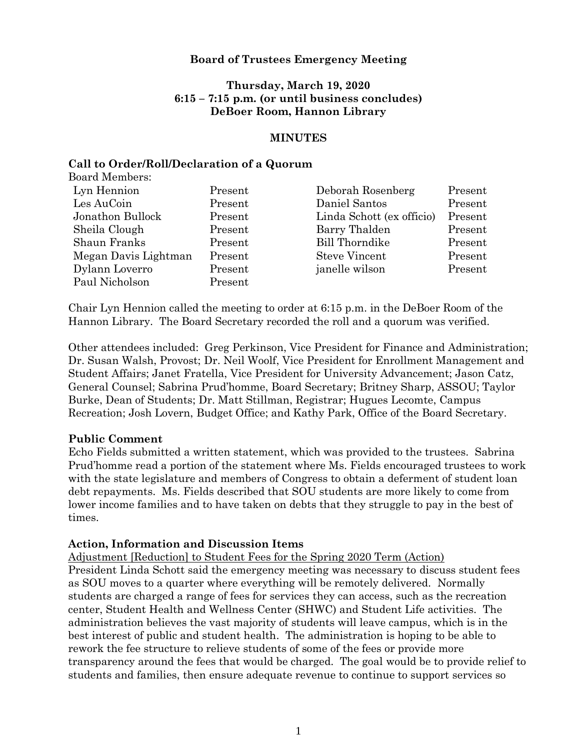## **Board of Trustees Emergency Meeting**

# **Thursday, March 19, 2020 6:15 – 7:15 p.m. (or until business concludes) DeBoer Room, Hannon Library**

#### **MINUTES**

### **Call to Order/Roll/Declaration of a Quorum**

| Present | Deborah Rosenberg         | Present |
|---------|---------------------------|---------|
| Present | Daniel Santos             | Present |
| Present | Linda Schott (ex officio) | Present |
| Present | Barry Thalden             | Present |
| Present | <b>Bill Thorndike</b>     | Present |
| Present | <b>Steve Vincent</b>      | Present |
| Present | janelle wilson            | Present |
| Present |                           |         |
|         |                           |         |

Chair Lyn Hennion called the meeting to order at 6:15 p.m. in the DeBoer Room of the Hannon Library. The Board Secretary recorded the roll and a quorum was verified.

Other attendees included: Greg Perkinson, Vice President for Finance and Administration; Dr. Susan Walsh, Provost; Dr. Neil Woolf, Vice President for Enrollment Management and Student Affairs; Janet Fratella, Vice President for University Advancement; Jason Catz, General Counsel; Sabrina Prud'homme, Board Secretary; Britney Sharp, ASSOU; Taylor Burke, Dean of Students; Dr. Matt Stillman, Registrar; Hugues Lecomte, Campus Recreation; Josh Lovern, Budget Office; and Kathy Park, Office of the Board Secretary.

## **Public Comment**

Echo Fields submitted a written statement, which was provided to the trustees. Sabrina Prud'homme read a portion of the statement where Ms. Fields encouraged trustees to work with the state legislature and members of Congress to obtain a deferment of student loan debt repayments. Ms. Fields described that SOU students are more likely to come from lower income families and to have taken on debts that they struggle to pay in the best of times.

## **Action, Information and Discussion Items**

Adjustment [Reduction] to Student Fees for the Spring 2020 Term (Action)

President Linda Schott said the emergency meeting was necessary to discuss student fees as SOU moves to a quarter where everything will be remotely delivered. Normally students are charged a range of fees for services they can access, such as the recreation center, Student Health and Wellness Center (SHWC) and Student Life activities. The administration believes the vast majority of students will leave campus, which is in the best interest of public and student health. The administration is hoping to be able to rework the fee structure to relieve students of some of the fees or provide more transparency around the fees that would be charged. The goal would be to provide relief to students and families, then ensure adequate revenue to continue to support services so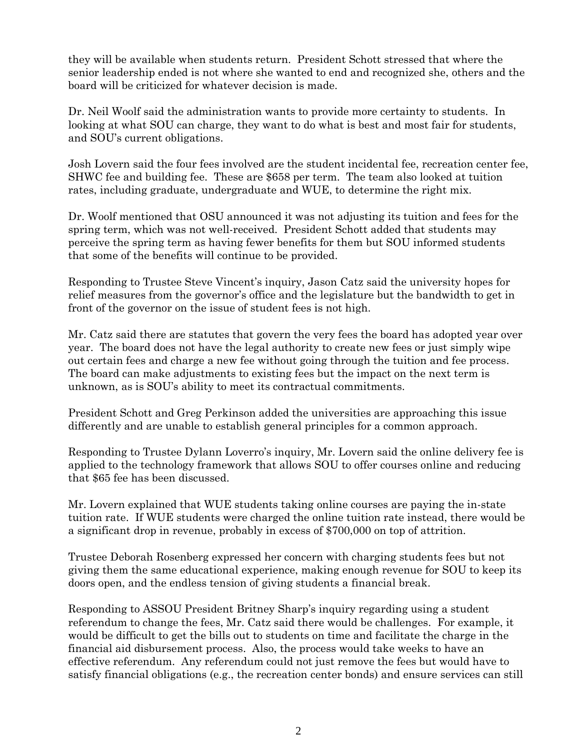they will be available when students return. President Schott stressed that where the senior leadership ended is not where she wanted to end and recognized she, others and the board will be criticized for whatever decision is made.

Dr. Neil Woolf said the administration wants to provide more certainty to students. In looking at what SOU can charge, they want to do what is best and most fair for students, and SOU's current obligations.

Josh Lovern said the four fees involved are the student incidental fee, recreation center fee, SHWC fee and building fee. These are \$658 per term. The team also looked at tuition rates, including graduate, undergraduate and WUE, to determine the right mix.

Dr. Woolf mentioned that OSU announced it was not adjusting its tuition and fees for the spring term, which was not well-received. President Schott added that students may perceive the spring term as having fewer benefits for them but SOU informed students that some of the benefits will continue to be provided.

Responding to Trustee Steve Vincent's inquiry, Jason Catz said the university hopes for relief measures from the governor's office and the legislature but the bandwidth to get in front of the governor on the issue of student fees is not high.

Mr. Catz said there are statutes that govern the very fees the board has adopted year over year. The board does not have the legal authority to create new fees or just simply wipe out certain fees and charge a new fee without going through the tuition and fee process. The board can make adjustments to existing fees but the impact on the next term is unknown, as is SOU's ability to meet its contractual commitments.

President Schott and Greg Perkinson added the universities are approaching this issue differently and are unable to establish general principles for a common approach.

Responding to Trustee Dylann Loverro's inquiry, Mr. Lovern said the online delivery fee is applied to the technology framework that allows SOU to offer courses online and reducing that \$65 fee has been discussed.

Mr. Lovern explained that WUE students taking online courses are paying the in-state tuition rate. If WUE students were charged the online tuition rate instead, there would be a significant drop in revenue, probably in excess of \$700,000 on top of attrition.

Trustee Deborah Rosenberg expressed her concern with charging students fees but not giving them the same educational experience, making enough revenue for SOU to keep its doors open, and the endless tension of giving students a financial break.

Responding to ASSOU President Britney Sharp's inquiry regarding using a student referendum to change the fees, Mr. Catz said there would be challenges. For example, it would be difficult to get the bills out to students on time and facilitate the charge in the financial aid disbursement process. Also, the process would take weeks to have an effective referendum. Any referendum could not just remove the fees but would have to satisfy financial obligations (e.g., the recreation center bonds) and ensure services can still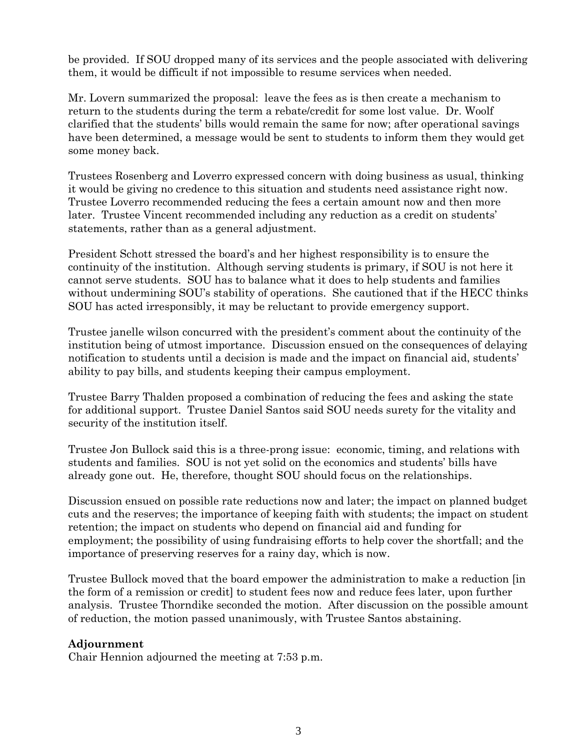be provided. If SOU dropped many of its services and the people associated with delivering them, it would be difficult if not impossible to resume services when needed.

Mr. Lovern summarized the proposal: leave the fees as is then create a mechanism to return to the students during the term a rebate/credit for some lost value. Dr. Woolf clarified that the students' bills would remain the same for now; after operational savings have been determined, a message would be sent to students to inform them they would get some money back.

Trustees Rosenberg and Loverro expressed concern with doing business as usual, thinking it would be giving no credence to this situation and students need assistance right now. Trustee Loverro recommended reducing the fees a certain amount now and then more later. Trustee Vincent recommended including any reduction as a credit on students' statements, rather than as a general adjustment.

President Schott stressed the board's and her highest responsibility is to ensure the continuity of the institution. Although serving students is primary, if SOU is not here it cannot serve students. SOU has to balance what it does to help students and families without undermining SOU's stability of operations. She cautioned that if the HECC thinks SOU has acted irresponsibly, it may be reluctant to provide emergency support.

Trustee janelle wilson concurred with the president's comment about the continuity of the institution being of utmost importance. Discussion ensued on the consequences of delaying notification to students until a decision is made and the impact on financial aid, students' ability to pay bills, and students keeping their campus employment.

Trustee Barry Thalden proposed a combination of reducing the fees and asking the state for additional support. Trustee Daniel Santos said SOU needs surety for the vitality and security of the institution itself.

Trustee Jon Bullock said this is a three-prong issue: economic, timing, and relations with students and families. SOU is not yet solid on the economics and students' bills have already gone out. He, therefore, thought SOU should focus on the relationships.

Discussion ensued on possible rate reductions now and later; the impact on planned budget cuts and the reserves; the importance of keeping faith with students; the impact on student retention; the impact on students who depend on financial aid and funding for employment; the possibility of using fundraising efforts to help cover the shortfall; and the importance of preserving reserves for a rainy day, which is now.

Trustee Bullock moved that the board empower the administration to make a reduction [in the form of a remission or credit] to student fees now and reduce fees later, upon further analysis. Trustee Thorndike seconded the motion. After discussion on the possible amount of reduction, the motion passed unanimously, with Trustee Santos abstaining.

## **Adjournment**

Chair Hennion adjourned the meeting at 7:53 p.m.